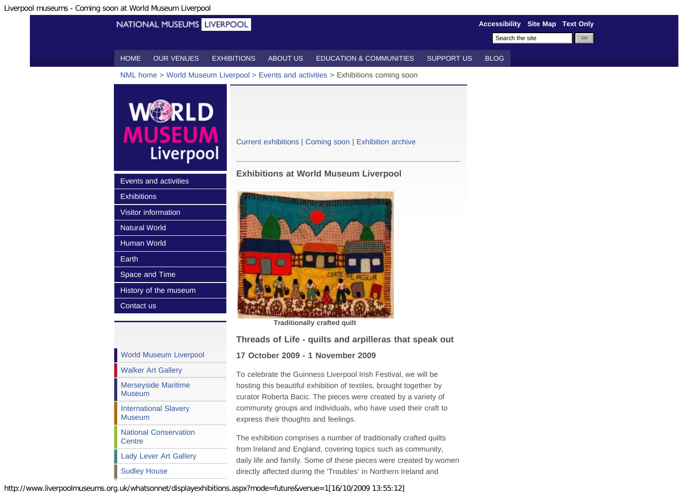<span id="page-0-1"></span><span id="page-0-0"></span>

The exhibition comprises a number of traditionally crafted quilts from Ireland and England, covering topics such as community, daily life and family. Some of these pieces were created by women directly affected during the 'Troubles' in Northern Ireland and

http://www.liverpoolmuseums.org.uk/whatsonnet/displayexhibitions.aspx?mode=future&venue=1[16/10/2009 13:55:12]

**[Centre](http://www.liverpoolmuseums.org.uk/conservation/)** 

[Lady Lever Art Gallery](http://www.liverpoolmuseums.org.uk/ladylever/)

[Sudley House](http://www.liverpoolmuseums.org.uk/sudley/)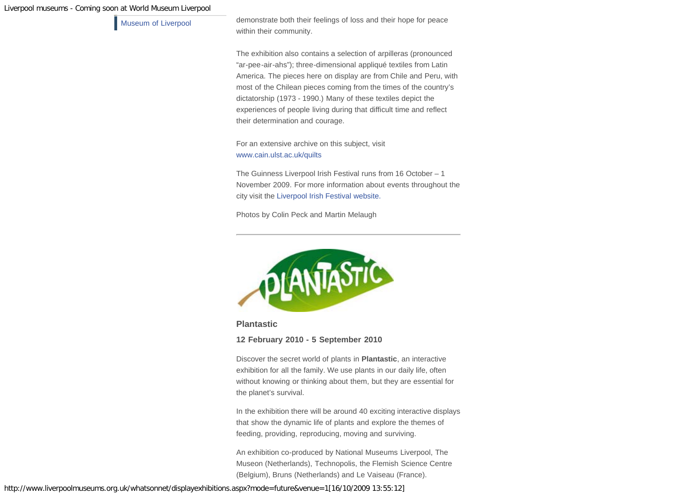## Liverpool museums - Coming soon at World Museum Liverpool

[Museum of Liverpool](http://www.liverpoolmuseums.org.uk/mol/) demonstrate both their feelings of loss and their hope for peace within their community.

> The exhibition also contains a selection of arpilleras (pronounced "ar-pee-air-ahs"); three-dimensional appliqué textiles from Latin America. The pieces here on display are from Chile and Peru, with most of the Chilean pieces coming from the times of the country's dictatorship (1973 - 1990.) Many of these textiles depict the experiences of people living during that difficult time and reflect their determination and courage.

For an extensive archive on this subject, visit [www.cain.ulst.ac.uk/quilts](http://www.cain.ulst.ac.uk/quilts)

The Guinness Liverpool Irish Festival runs from 16 October – 1 November 2009. For more information about events throughout the city visit the [Liverpool Irish Festival website.](http:// www.liverpoolirishfestival.com/)

Photos by Colin Peck and Martin Melaugh



**Plantastic**

**12 February 2010 - 5 September 2010**

Discover the secret world of plants in **Plantastic**, an interactive exhibition for all the family. We use plants in our daily life, often without knowing or thinking about them, but they are essential for the planet's survival.

In the exhibition there will be around 40 exciting interactive displays that show the dynamic life of plants and explore the themes of feeding, providing, reproducing, moving and surviving.

An exhibition co-produced by National Museums Liverpool, The Museon (Netherlands), Technopolis, the Flemish Science Centre (Belgium), Bruns (Netherlands) and Le Vaiseau (France).

http://www.liverpoolmuseums.org.uk/whatsonnet/displayexhibitions.aspx?mode=future&venue=1[16/10/2009 13:55:12]